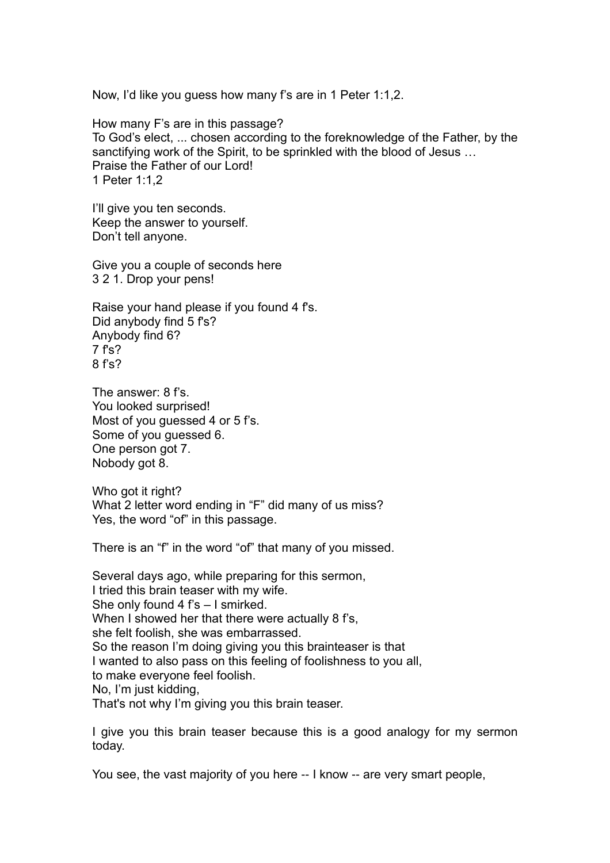Now, I'd like you guess how many f's are in 1 Peter 1:1,2.

How many F's are in this passage? To God's elect, ... chosen according to the foreknowledge of the Father, by the sanctifying work of the Spirit, to be sprinkled with the blood of Jesus … Praise the Father of our Lord! 1 Peter 1:1,2

I'll give you ten seconds. Keep the answer to yourself. Don't tell anyone.

Give you a couple of seconds here 3 2 1. Drop your pens!

Raise your hand please if you found 4 f's. Did anybody find 5 f's? Anybody find 6? 7 f's? 8 f's?

The answer: 8 f's. You looked surprised! Most of you guessed 4 or 5 f's. Some of you guessed 6. One person got 7. Nobody got 8.

Who got it right? What 2 letter word ending in "F" did many of us miss? Yes, the word "of" in this passage.

There is an "f" in the word "of" that many of you missed.

Several days ago, while preparing for this sermon, I tried this brain teaser with my wife. She only found 4 f's – I smirked. When I showed her that there were actually 8 f's, she felt foolish, she was embarrassed. So the reason I'm doing giving you this brainteaser is that I wanted to also pass on this feeling of foolishness to you all, to make everyone feel foolish. No, I'm just kidding, That's not why I'm giving you this brain teaser.

I give you this brain teaser because this is a good analogy for my sermon today.

You see, the vast majority of you here -- I know -- are very smart people,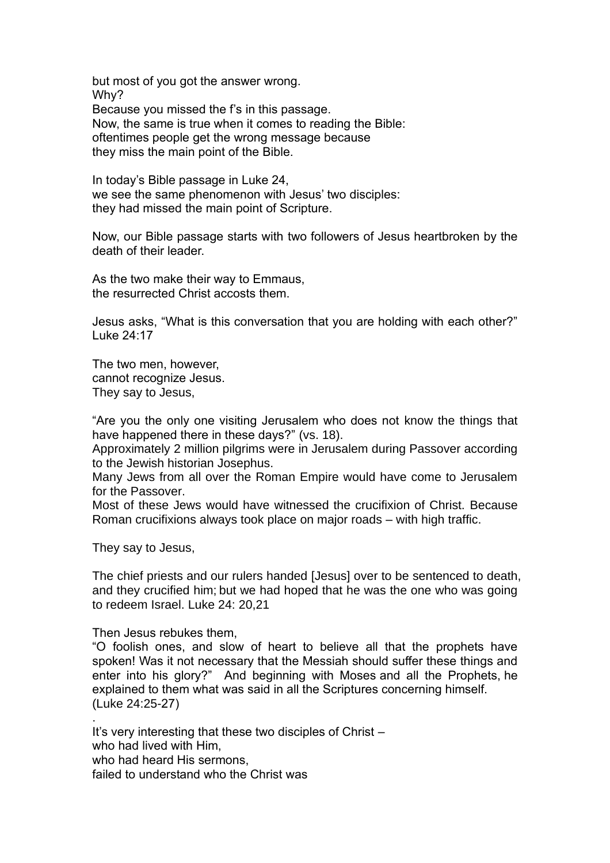but most of you got the answer wrong. Why? Because you missed the f's in this passage. Now, the same is true when it comes to reading the Bible: oftentimes people get the wrong message because they miss the main point of the Bible.

In today's Bible passage in Luke 24, we see the same phenomenon with Jesus' two disciples: they had missed the main point of Scripture.

Now, our Bible passage starts with two followers of Jesus heartbroken by the death of their leader.

As the two make their way to Emmaus, the resurrected Christ accosts them.

Jesus asks, "What is this conversation that you are holding with each other?" Luke 24:17

The two men, however, cannot recognize Jesus. They say to Jesus,

"Are you the only one visiting Jerusalem who does not know the things that have happened there in these days?" (vs. 18).

Approximately 2 million pilgrims were in Jerusalem during Passover according to the Jewish historian Josephus.

Many Jews from all over the Roman Empire would have come to Jerusalem for the Passover.

Most of these Jews would have witnessed the crucifixion of Christ. Because Roman crucifixions always took place on major roads – with high traffic.

They say to Jesus,

.

The chief priests and our rulers handed [Jesus] over to be sentenced to death, and they crucified him; but we had hoped that he was the one who was going to redeem Israel. Luke 24: 20,21

Then Jesus rebukes them,

"O foolish ones, and slow of heart to believe all that the prophets have spoken! Was it not necessary that the Messiah should suffer these things and enter into his glory?" And beginning with Moses and all the Prophets, he explained to them what was said in all the Scriptures concerning himself. (Luke 24:25-27)

It's very interesting that these two disciples of Christ – who had lived with Him, who had heard His sermons, failed to understand who the Christ was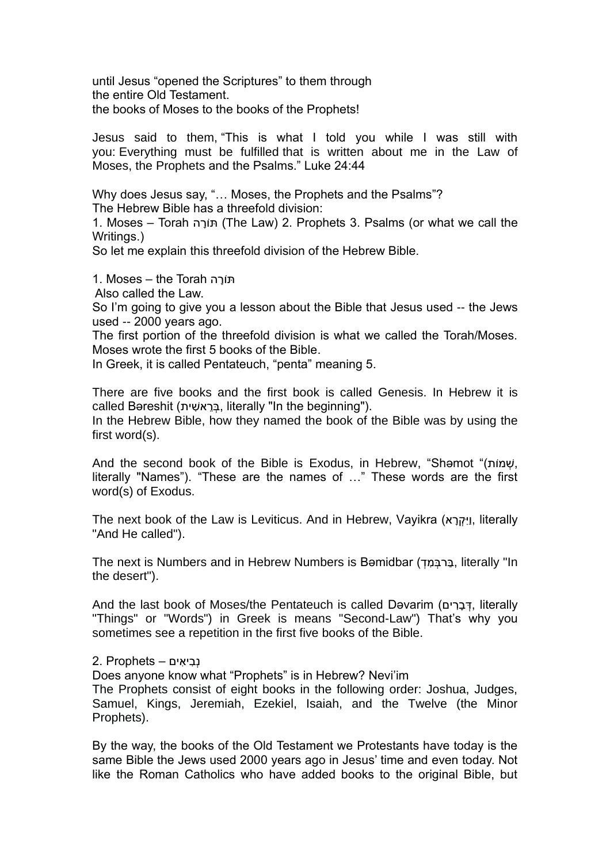until Jesus "opened the Scriptures" to them through the entire Old Testament. the books of Moses to the books of the Prophets!

Jesus said to them, "This is what I told you while I was still with you: Everything must be fulfilled that is written about me in the Law of Moses, the Prophets and the Psalms." Luke 24:44

Why does Jesus say, "… Moses, the Prophets and the Psalms"? The Hebrew Bible has a threefold division:

1. Moses – Torah תּוֹרָה (The Law) 2. Prophets 3. Psalms (or what we call the Writings.)

So let me explain this threefold division of the Hebrew Bible.

תּוֹרָה 1. Moses – the Torah

Also called the Law.

So I'm going to give you a lesson about the Bible that Jesus used -- the Jews used -- 2000 years ago.

The first portion of the threefold division is what we called the Torah/Moses. Moses wrote the first 5 books of the Bible.

In Greek, it is called Pentateuch, "penta" meaning 5.

There are five books and the first book is called Genesis. In Hebrew it is called Bəreshit (בְּרֵאשִׁית, literally "In the beginning").

In the Hebrew Bible, how they named the book of the Bible was by using the first word(s).

And the second book of the Bible is Exodus, in Hebrew, "Shamot "(שְׁמוֹת, literally "Names"). "These are the names of …" These words are the first word(s) of Exodus.

The next book of the Law is Leviticus. And in Hebrew, Vayikra (אֲיִּקְרָא), literally "And He called").

The next is Numbers and in Hebrew Numbers is Bəmidbar ( ְּד ִׁמ ְּרב ַב, literally "In the desert").

And the last book of Moses/the Pentateuch is called Devarim (דְּבָרִים, literally "Things" or "Words") in Greek is means "Second-Law") That's why you sometimes see a repetition in the first five books of the Bible.

נְּבִׁ יאִׁ ים – Prophets 2.

Does anyone know what "Prophets" is in Hebrew? Nevi'im

The Prophets consist of eight books in the following order: Joshua, Judges, Samuel, Kings, Jeremiah, Ezekiel, Isaiah, and the Twelve (the Minor Prophets).

By the way, the books of the Old Testament we Protestants have today is the same Bible the Jews used 2000 years ago in Jesus' time and even today. Not like the Roman Catholics who have added books to the original Bible, but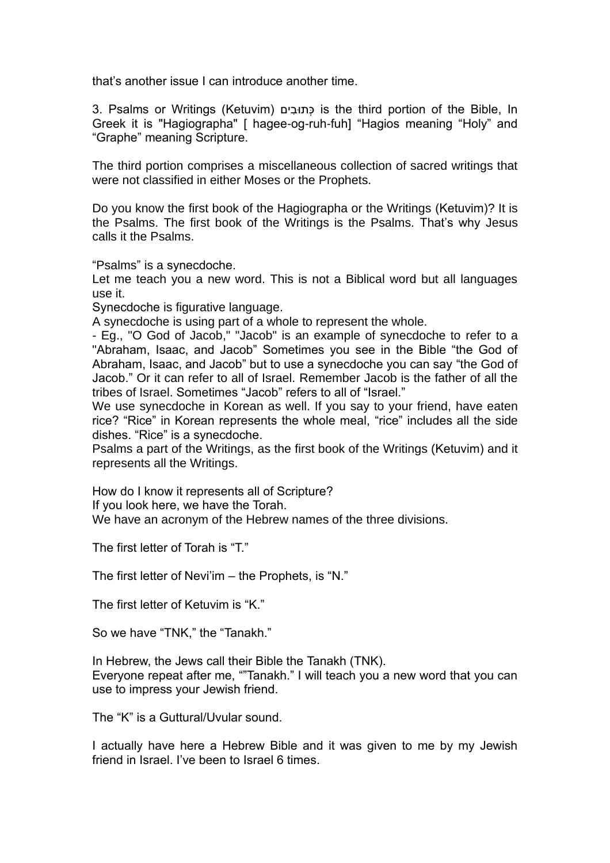that's another issue I can introduce another time.

3. Psalms or Writings (Ketuvim) ים ִׁובּתְּכ is the third portion of the Bible, In Greek it is "Hagiographa" [ hagee-og-ruh-fuh] "Hagios meaning "Holy" and "Graphe" meaning Scripture.

The third portion comprises a miscellaneous collection of sacred writings that were not classified in either Moses or the Prophets.

Do you know the first book of the Hagiographa or the Writings (Ketuvim)? It is the Psalms. The first book of the Writings is the Psalms. That's why Jesus calls it the Psalms.

"Psalms" is a synecdoche.

Let me teach you a new word. This is not a Biblical word but all languages use it.

Synecdoche is figurative language.

A synecdoche is using part of a whole to represent the whole.

- Eg., "O God of Jacob," "Jacob" is an example of synecdoche to refer to a "Abraham, Isaac, and Jacob" Sometimes you see in the Bible "the God of Abraham, Isaac, and Jacob" but to use a synecdoche you can say "the God of Jacob." Or it can refer to all of Israel. Remember Jacob is the father of all the tribes of Israel. Sometimes "Jacob" refers to all of "Israel."

We use synecdoche in Korean as well. If you say to your friend, have eaten rice? "Rice" in Korean represents the whole meal, "rice" includes all the side dishes. "Rice" is a synecdoche.

Psalms a part of the Writings, as the first book of the Writings (Ketuvim) and it represents all the Writings.

How do I know it represents all of Scripture?

If you look here, we have the Torah.

We have an acronym of the Hebrew names of the three divisions.

The first letter of Torah is "T."

The first letter of Nevi'im – the Prophets, is "N."

The first letter of Ketuvim is "K."

So we have "TNK," the "Tanakh."

In Hebrew, the Jews call their Bible the Tanakh (TNK). Everyone repeat after me, ""Tanakh." I will teach you a new word that you can use to impress your Jewish friend.

The "K" is a Guttural/Uvular sound.

I actually have here a Hebrew Bible and it was given to me by my Jewish friend in Israel. I've been to Israel 6 times.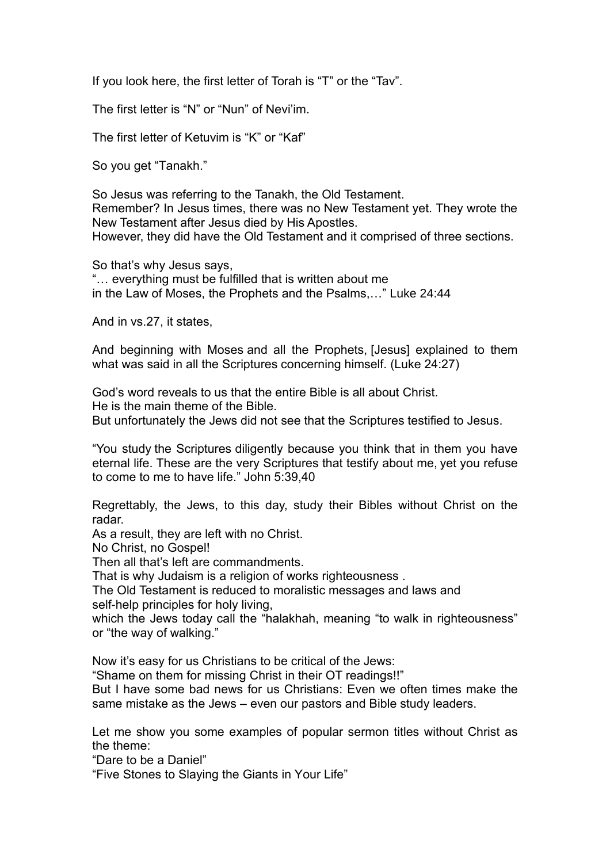If you look here, the first letter of Torah is "T" or the "Tav".

The first letter is "N" or "Nun" of Nevi'im.

The first letter of Ketuvim is "K" or "Kaf"

So you get "Tanakh."

So Jesus was referring to the Tanakh, the Old Testament. Remember? In Jesus times, there was no New Testament yet. They wrote the New Testament after Jesus died by His Apostles. However, they did have the Old Testament and it comprised of three sections.

So that's why Jesus says, "… everything must be fulfilled that is written about me in the Law of Moses, the Prophets and the Psalms,…" Luke 24:44

And in vs.27, it states,

And beginning with Moses and all the Prophets, [Jesus] explained to them what was said in all the Scriptures concerning himself. (Luke 24:27)

God's word reveals to us that the entire Bible is all about Christ. He is the main theme of the Bible. But unfortunately the Jews did not see that the Scriptures testified to Jesus.

"You study the Scriptures diligently because you think that in them you have eternal life. These are the very Scriptures that testify about me, yet you refuse to come to me to have life." John 5:39,40

Regrettably, the Jews, to this day, study their Bibles without Christ on the radar.

As a result, they are left with no Christ.

No Christ, no Gospel!

Then all that's left are commandments.

That is why Judaism is a religion of works righteousness .

The Old Testament is reduced to moralistic messages and laws and self-help principles for holy living,

which the Jews today call the "halakhah, meaning "to walk in righteousness" or "the way of walking."

Now it's easy for us Christians to be critical of the Jews:

"Shame on them for missing Christ in their OT readings!!"

But I have some bad news for us Christians: Even we often times make the same mistake as the Jews – even our pastors and Bible study leaders.

Let me show you some examples of popular sermon titles without Christ as the theme:

"Dare to be a Daniel"

"Five Stones to Slaying the Giants in Your Life"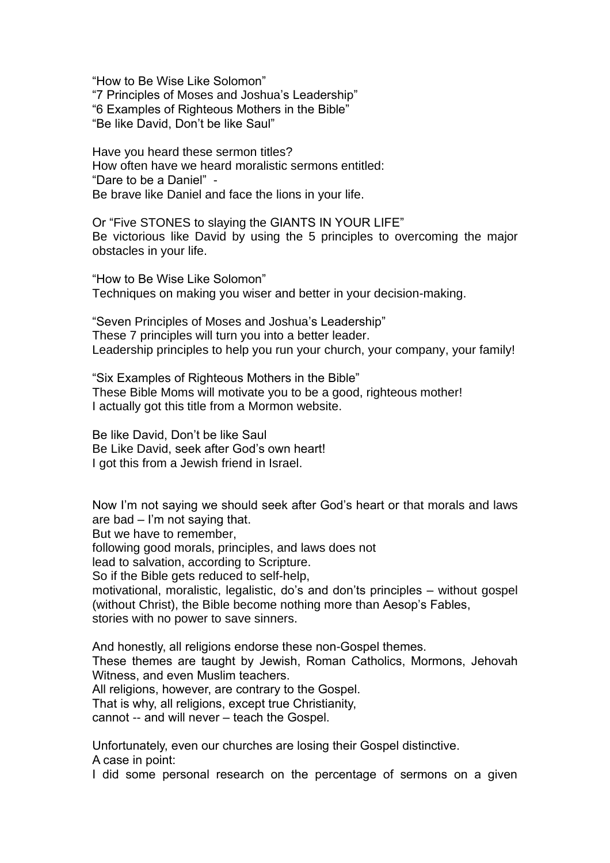"How to Be Wise Like Solomon" "7 Principles of Moses and Joshua's Leadership" "6 Examples of Righteous Mothers in the Bible" "Be like David, Don't be like Saul"

Have you heard these sermon titles? How often have we heard moralistic sermons entitled: "Dare to be a Daniel" - Be brave like Daniel and face the lions in your life.

Or "Five STONES to slaying the GIANTS IN YOUR LIFE" Be victorious like David by using the 5 principles to overcoming the major obstacles in your life.

"How to Be Wise Like Solomon" Techniques on making you wiser and better in your decision-making.

"Seven Principles of Moses and Joshua's Leadership" These 7 principles will turn you into a better leader. Leadership principles to help you run your church, your company, your family!

"Six Examples of Righteous Mothers in the Bible" These Bible Moms will motivate you to be a good, righteous mother! I actually got this title from a Mormon website.

Be like David, Don't be like Saul Be Like David, seek after God's own heart! I got this from a Jewish friend in Israel.

Now I'm not saying we should seek after God's heart or that morals and laws are bad  $-$  I'm not saying that. But we have to remember, following good morals, principles, and laws does not lead to salvation, according to Scripture. So if the Bible gets reduced to self-help, motivational, moralistic, legalistic, do's and don'ts principles – without gospel (without Christ), the Bible become nothing more than Aesop's Fables, stories with no power to save sinners.

And honestly, all religions endorse these non-Gospel themes. These themes are taught by Jewish, Roman Catholics, Mormons, Jehovah Witness, and even Muslim teachers. All religions, however, are contrary to the Gospel. That is why, all religions, except true Christianity, cannot -- and will never – teach the Gospel.

Unfortunately, even our churches are losing their Gospel distinctive. A case in point:

I did some personal research on the percentage of sermons on a given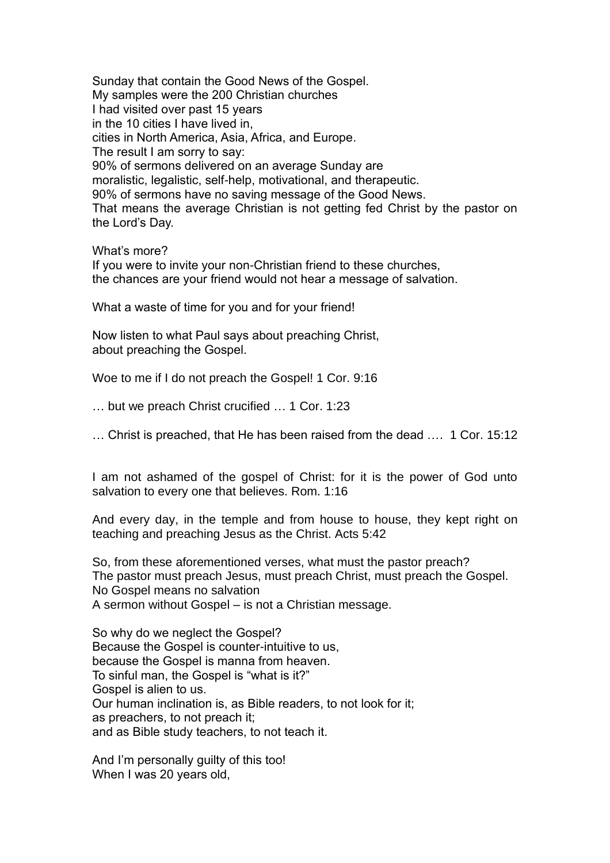Sunday that contain the Good News of the Gospel. My samples were the 200 Christian churches I had visited over past 15 years in the 10 cities I have lived in, cities in North America, Asia, Africa, and Europe. The result I am sorry to say: 90% of sermons delivered on an average Sunday are moralistic, legalistic, self-help, motivational, and therapeutic. 90% of sermons have no saving message of the Good News. That means the average Christian is not getting fed Christ by the pastor on the Lord's Day.

What's more?

If you were to invite your non-Christian friend to these churches, the chances are your friend would not hear a message of salvation.

What a waste of time for you and for your friend!

Now listen to what Paul says about preaching Christ, about preaching the Gospel.

Woe to me if I do not preach the Gospel! 1 Cor. 9:16

… but we preach Christ crucified … 1 Cor. 1:23

… Christ is preached, that He has been raised from the dead …. 1 Cor. 15:12

I am not ashamed of the gospel of Christ: for it is the power of God unto salvation to every one that believes. Rom. 1:16

And every day, in the temple and from house to house, they kept right on teaching and preaching Jesus as the Christ. Acts 5:42

So, from these aforementioned verses, what must the pastor preach? The pastor must preach Jesus, must preach Christ, must preach the Gospel. No Gospel means no salvation A sermon without Gospel – is not a Christian message.

So why do we neglect the Gospel? Because the Gospel is counter-intuitive to us, because the Gospel is manna from heaven. To sinful man, the Gospel is "what is it?" Gospel is alien to us. Our human inclination is, as Bible readers, to not look for it; as preachers, to not preach it; and as Bible study teachers, to not teach it.

And I'm personally guilty of this too! When I was 20 years old,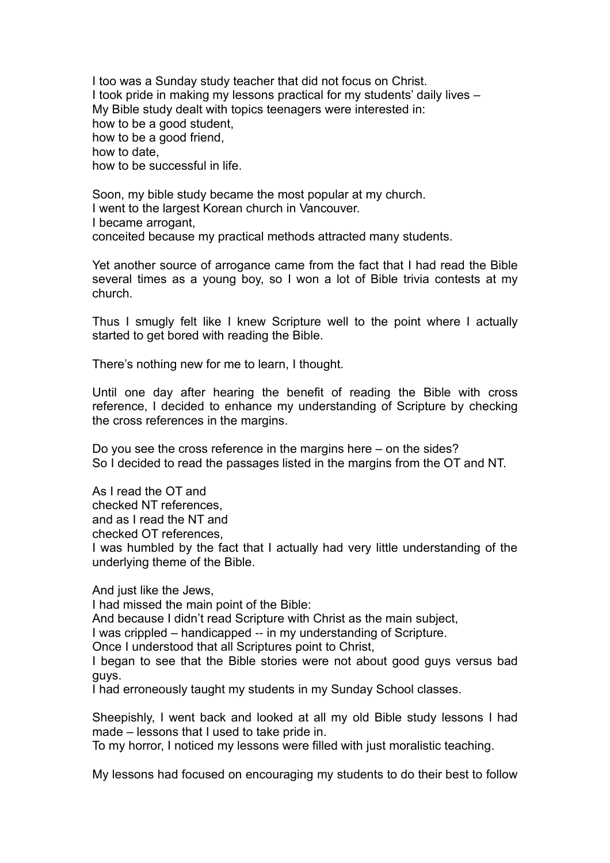I too was a Sunday study teacher that did not focus on Christ. I took pride in making my lessons practical for my students' daily lives – My Bible study dealt with topics teenagers were interested in: how to be a good student, how to be a good friend, how to date, how to be successful in life.

Soon, my bible study became the most popular at my church. I went to the largest Korean church in Vancouver. I became arrogant, conceited because my practical methods attracted many students.

Yet another source of arrogance came from the fact that I had read the Bible several times as a young boy, so I won a lot of Bible trivia contests at my church.

Thus I smugly felt like I knew Scripture well to the point where I actually started to get bored with reading the Bible.

There's nothing new for me to learn, I thought.

Until one day after hearing the benefit of reading the Bible with cross reference, I decided to enhance my understanding of Scripture by checking the cross references in the margins.

Do you see the cross reference in the margins here – on the sides? So I decided to read the passages listed in the margins from the OT and NT.

As I read the OT and

checked NT references,

and as I read the NT and

checked OT references,

I was humbled by the fact that I actually had very little understanding of the underlying theme of the Bible.

And just like the Jews,

I had missed the main point of the Bible:

And because I didn't read Scripture with Christ as the main subject,

I was crippled – handicapped -- in my understanding of Scripture.

Once I understood that all Scriptures point to Christ,

I began to see that the Bible stories were not about good guys versus bad guys.

I had erroneously taught my students in my Sunday School classes.

Sheepishly, I went back and looked at all my old Bible study lessons I had made – lessons that I used to take pride in.

To my horror, I noticed my lessons were filled with just moralistic teaching.

My lessons had focused on encouraging my students to do their best to follow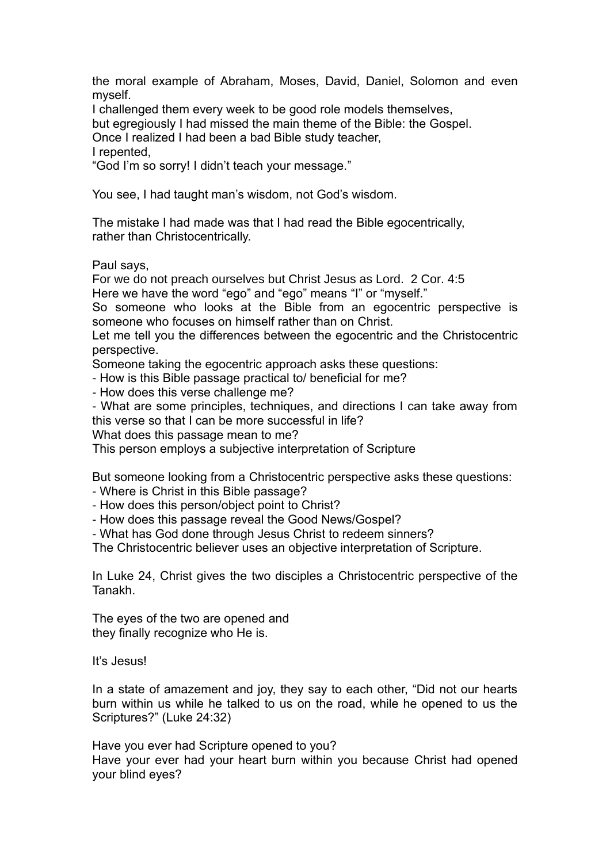the moral example of Abraham, Moses, David, Daniel, Solomon and even myself.

I challenged them every week to be good role models themselves,

but egregiously I had missed the main theme of the Bible: the Gospel.

Once I realized I had been a bad Bible study teacher,

I repented,

"God I'm so sorry! I didn't teach your message."

You see, I had taught man's wisdom, not God's wisdom.

The mistake I had made was that I had read the Bible egocentrically, rather than Christocentrically.

Paul says,

For we do not preach ourselves but Christ Jesus as Lord. 2 Cor. 4:5 Here we have the word "ego" and "ego" means "I" or "myself."

So someone who looks at the Bible from an egocentric perspective is someone who focuses on himself rather than on Christ.

Let me tell you the differences between the egocentric and the Christocentric perspective.

Someone taking the egocentric approach asks these questions:

- How is this Bible passage practical to/ beneficial for me?

- How does this verse challenge me?

- What are some principles, techniques, and directions I can take away from this verse so that I can be more successful in life?

What does this passage mean to me?

This person employs a subjective interpretation of Scripture

But someone looking from a Christocentric perspective asks these questions:

- Where is Christ in this Bible passage?

- How does this person/object point to Christ?

- How does this passage reveal the Good News/Gospel?

- What has God done through Jesus Christ to redeem sinners?

The Christocentric believer uses an objective interpretation of Scripture.

In Luke 24, Christ gives the two disciples a Christocentric perspective of the Tanakh.

The eyes of the two are opened and they finally recognize who He is.

It's Jesus!

In a state of amazement and joy, they say to each other, "Did not our hearts burn within us while he talked to us on the road, while he opened to us the Scriptures?" (Luke 24:32)

Have you ever had Scripture opened to you? Have your ever had your heart burn within you because Christ had opened your blind eyes?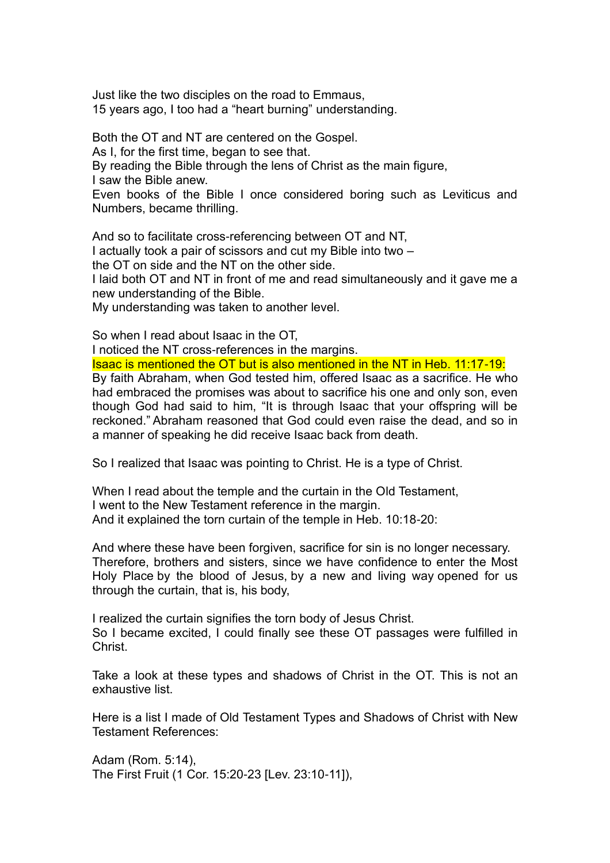Just like the two disciples on the road to Emmaus, 15 years ago, I too had a "heart burning" understanding.

Both the OT and NT are centered on the Gospel. As I, for the first time, began to see that. By reading the Bible through the lens of Christ as the main figure, I saw the Bible anew. Even books of the Bible I once considered boring such as Leviticus and Numbers, became thrilling. And so to facilitate cross-referencing between OT and NT, I actually took a pair of scissors and cut my Bible into two – the OT on side and the NT on the other side. I laid both OT and NT in front of me and read simultaneously and it gave me a

new understanding of the Bible. My understanding was taken to another level.

So when I read about Isaac in the OT,

I noticed the NT cross-references in the margins.

Isaac is mentioned the OT but is also mentioned in the NT in Heb. 11:17-19: By faith Abraham, when God tested him, offered Isaac as a sacrifice. He who had embraced the promises was about to sacrifice his one and only son, even though God had said to him, "It is through Isaac that your offspring will be reckoned." Abraham reasoned that God could even raise the dead, and so in a manner of speaking he did receive Isaac back from death.

So I realized that Isaac was pointing to Christ. He is a type of Christ.

When I read about the temple and the curtain in the Old Testament, I went to the New Testament reference in the margin. And it explained the torn curtain of the temple in Heb. 10:18-20:

And where these have been forgiven, sacrifice for sin is no longer necessary. Therefore, brothers and sisters, since we have confidence to enter the Most Holy Place by the blood of Jesus, by a new and living way opened for us through the curtain, that is, his body,

I realized the curtain signifies the torn body of Jesus Christ. So I became excited, I could finally see these OT passages were fulfilled in **Christ** 

Take a look at these types and shadows of Christ in the OT. This is not an exhaustive list.

Here is a list I made of Old Testament Types and Shadows of Christ with New Testament References:

Adam (Rom. 5:14), The First Fruit (1 Cor. 15:20-23 [Lev. 23:10-11]),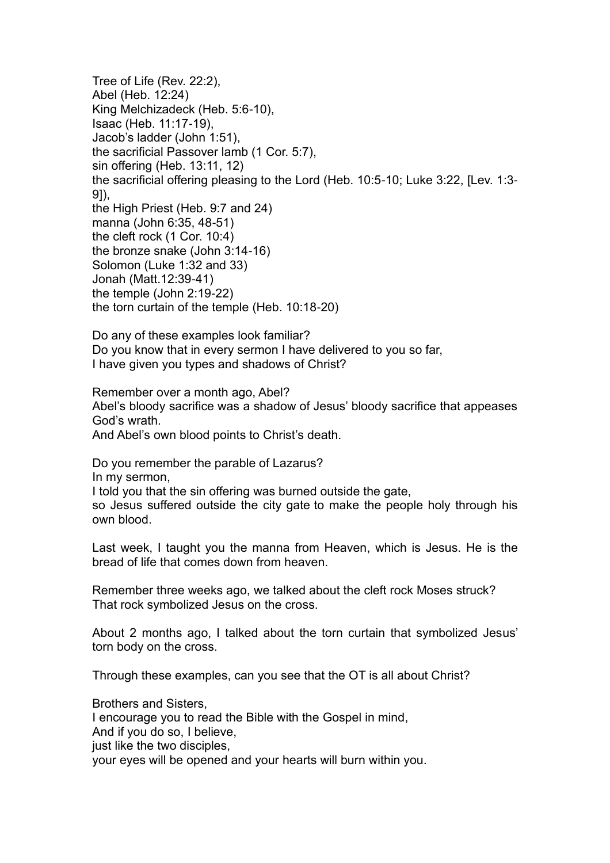Tree of Life (Rev. 22:2), Abel (Heb. 12:24) King Melchizadeck (Heb. 5:6-10), Isaac (Heb. 11:17-19), Jacob's ladder (John 1:51), the sacrificial Passover lamb (1 Cor. 5:7), sin offering (Heb. 13:11, 12) the sacrificial offering pleasing to the Lord (Heb. 10:5-10; Luke 3:22, [Lev. 1:3- 9]), the High Priest (Heb. 9:7 and 24) manna (John 6:35, 48-51) the cleft rock (1 Cor. 10:4) the bronze snake (John 3:14-16) Solomon (Luke 1:32 and 33) Jonah (Matt.12:39-41) the temple (John 2:19-22) the torn curtain of the temple (Heb. 10:18-20)

Do any of these examples look familiar? Do you know that in every sermon I have delivered to you so far, I have given you types and shadows of Christ?

Remember over a month ago, Abel? Abel's bloody sacrifice was a shadow of Jesus' bloody sacrifice that appeases God's wrath. And Abel's own blood points to Christ's death.

Do you remember the parable of Lazarus? In my sermon, I told you that the sin offering was burned outside the gate, so Jesus suffered outside the city gate to make the people holy through his own blood.

Last week, I taught you the manna from Heaven, which is Jesus. He is the bread of life that comes down from heaven.

Remember three weeks ago, we talked about the cleft rock Moses struck? That rock symbolized Jesus on the cross.

About 2 months ago, I talked about the torn curtain that symbolized Jesus' torn body on the cross.

Through these examples, can you see that the OT is all about Christ?

Brothers and Sisters,

I encourage you to read the Bible with the Gospel in mind,

And if you do so, I believe,

just like the two disciples,

your eyes will be opened and your hearts will burn within you.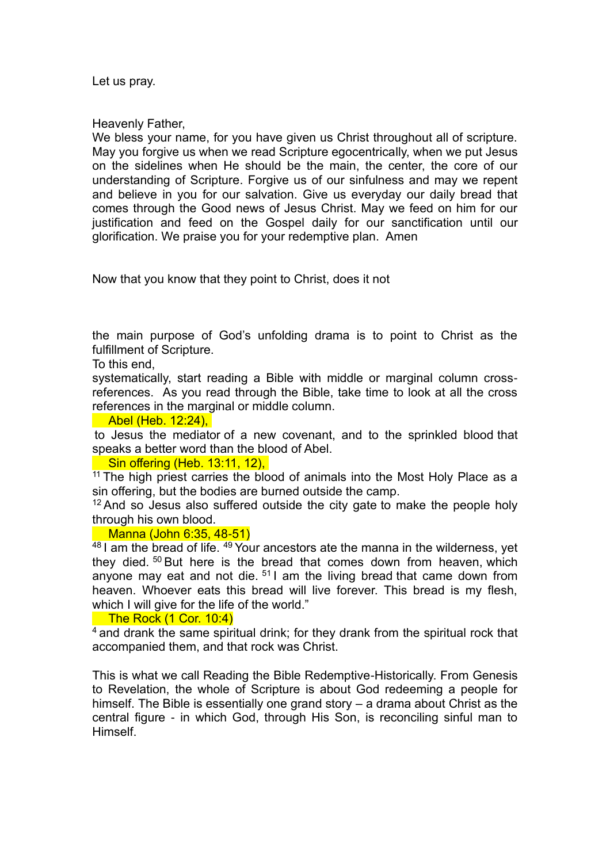Let us pray.

Heavenly Father,

We bless your name, for you have given us Christ throughout all of scripture. May you forgive us when we read Scripture egocentrically, when we put Jesus on the sidelines when He should be the main, the center, the core of our understanding of Scripture. Forgive us of our sinfulness and may we repent and believe in you for our salvation. Give us everyday our daily bread that comes through the Good news of Jesus Christ. May we feed on him for our justification and feed on the Gospel daily for our sanctification until our glorification. We praise you for your redemptive plan. Amen

Now that you know that they point to Christ, does it not

the main purpose of God's unfolding drama is to point to Christ as the fulfillment of Scripture.

To this end,

systematically, start reading a Bible with middle or marginal column crossreferences. As you read through the Bible, take time to look at all the cross references in the marginal or middle column.

### **Abel (Heb. 12:24),**

to Jesus the mediator of a new covenant, and to the sprinkled blood that speaks a better word than the blood of Abel.

### **Sin offering (Heb. 13:11, 12),**

 $11$  The high priest carries the blood of animals into the Most Holy Place as a sin offering, but the bodies are burned outside the camp.

 $12$  And so Jesus also suffered outside the city gate to make the people holy through his own blood.

#### Manna (John 6:35, 48-51)

 $48$  I am the bread of life.  $49$  Your ancestors ate the manna in the wilderness, yet they died. <sup>50</sup> But here is the bread that comes down from heaven, which anyone may eat and not die.  $51$  I am the living bread that came down from heaven. Whoever eats this bread will live forever. This bread is my flesh, which I will give for the life of the world."

#### The Rock (1 Cor. 10:4)

<sup>4</sup> and drank the same spiritual drink; for they drank from the spiritual rock that accompanied them, and that rock was Christ.

This is what we call Reading the Bible Redemptive-Historically. From Genesis to Revelation, the whole of Scripture is about God redeeming a people for himself. The Bible is essentially one grand story – a drama about Christ as the central figure - in which God, through His Son, is reconciling sinful man to Himself.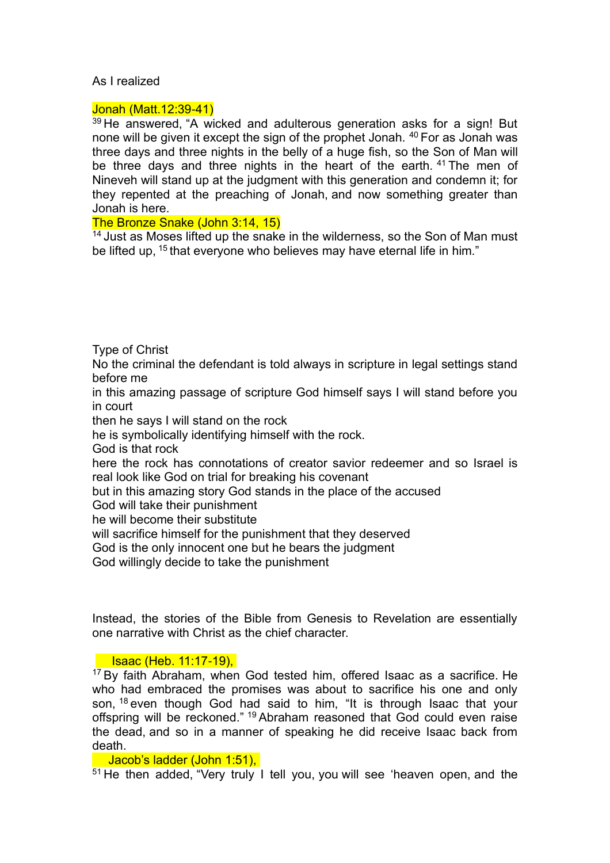## As I realized

### Jonah (Matt.12:39-41)

<sup>39</sup> He answered, "A wicked and adulterous generation asks for a sign! But none will be given it except the sign of the prophet Jonah. <sup>40</sup> For as Jonah was three days and three nights in the belly of a huge fish, so the Son of Man will be three days and three nights in the heart of the earth. <sup>41</sup> The men of Nineveh will stand up at the judgment with this generation and condemn it; for they repented at the preaching of Jonah, and now something greater than Jonah is here.

## The Bronze Snake (John 3:14, 15)

<sup>14</sup> Just as Moses lifted up the snake in the wilderness, so the Son of Man must be lifted up, <sup>15</sup> that everyone who believes may have eternal life in him."

Type of Christ

No the criminal the defendant is told always in scripture in legal settings stand before me

in this amazing passage of scripture God himself says I will stand before you in court

then he says I will stand on the rock

he is symbolically identifying himself with the rock.

God is that rock

here the rock has connotations of creator savior redeemer and so Israel is real look like God on trial for breaking his covenant

but in this amazing story God stands in the place of the accused

God will take their punishment

he will become their substitute

will sacrifice himself for the punishment that they deserved

God is the only innocent one but he bears the judgment

God willingly decide to take the punishment

Instead, the stories of the Bible from Genesis to Revelation are essentially one narrative with Christ as the chief character.

## Isaac (Heb. 11:17-19),

<sup>17</sup> By faith Abraham, when God tested him, offered Isaac as a sacrifice. He who had embraced the promises was about to sacrifice his one and only son, <sup>18</sup> even though God had said to him, "It is through Isaac that your offspring will be reckoned." <sup>19</sup> Abraham reasoned that God could even raise the dead, and so in a manner of speaking he did receive Isaac back from death.

## Jacob's ladder (John 1:51),

<sup>51</sup> He then added, "Very truly I tell you, you will see 'heaven open, and the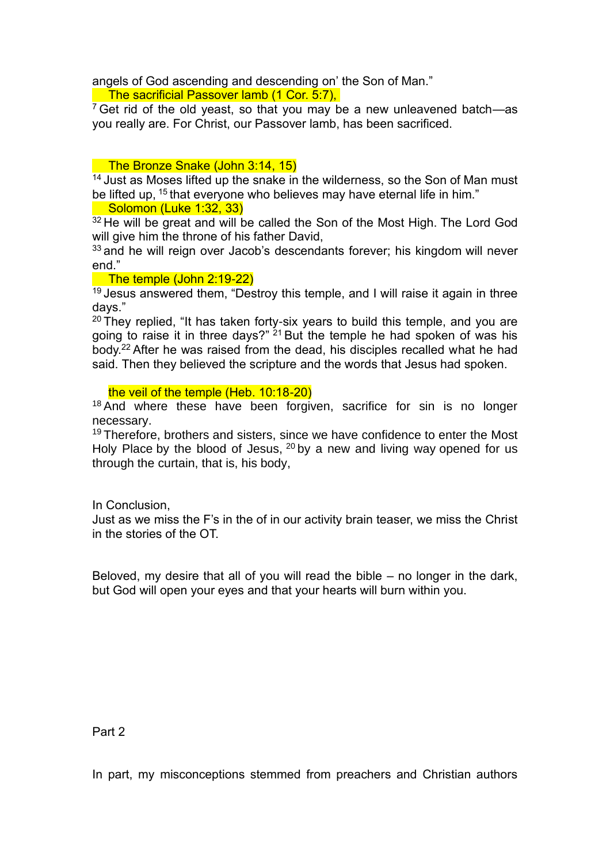angels of God ascending and descending on' the Son of Man."

The sacrificial Passover lamb (1 Cor. 5:7),

 $7$  Get rid of the old yeast, so that you may be a new unleavened batch—as you really are. For Christ, our Passover lamb, has been sacrificed.

## The Bronze Snake (John 3:14, 15)

<sup>14</sup> Just as Moses lifted up the snake in the wilderness, so the Son of Man must be lifted up, <sup>15</sup> that everyone who believes may have eternal life in him."

Solomon (Luke 1:32, 33)

<sup>32</sup> He will be great and will be called the Son of the Most High. The Lord God will give him the throne of his father David,

 $33$  and he will reign over Jacob's descendants forever; his kingdom will never end."

# The temple (John 2:19-22)

<sup>19</sup> Jesus answered them, "Destroy this temple, and I will raise it again in three days."

 $20$  They replied, "It has taken forty-six years to build this temple, and you are going to raise it in three days?" <sup>21</sup> But the temple he had spoken of was his body.<sup>22</sup> After he was raised from the dead, his disciples recalled what he had said. Then they believed the scripture and the words that Jesus had spoken.

the veil of the temple (Heb. 10:18-20)

 $18$  And where these have been forgiven, sacrifice for sin is no longer necessary.

<sup>19</sup> Therefore, brothers and sisters, since we have confidence to enter the Most Holy Place by the blood of Jesus, <sup>20</sup> by a new and living way opened for us through the curtain, that is, his body,

In Conclusion,

Just as we miss the F's in the of in our activity brain teaser, we miss the Christ in the stories of the OT.

Beloved, my desire that all of you will read the bible – no longer in the dark, but God will open your eyes and that your hearts will burn within you.

Part 2

In part, my misconceptions stemmed from preachers and Christian authors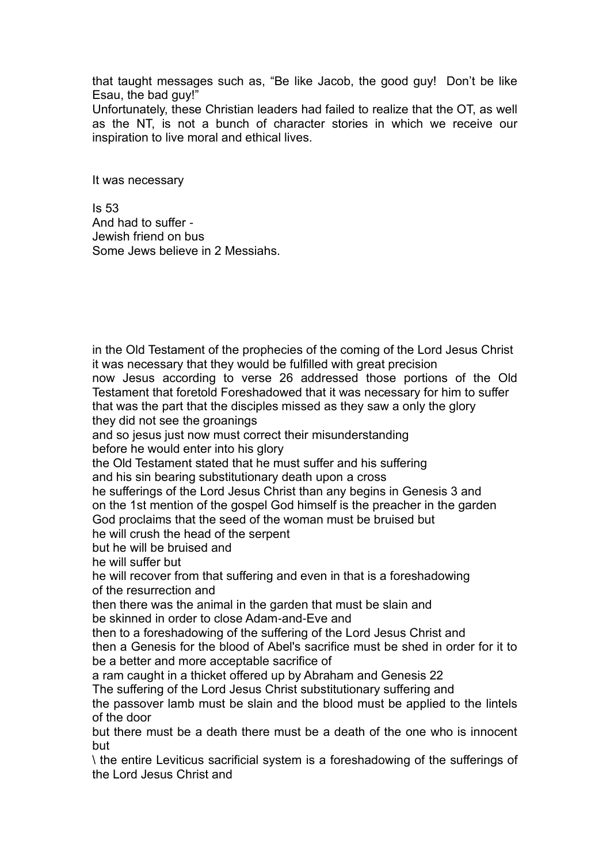that taught messages such as, "Be like Jacob, the good guy! Don't be like Esau, the bad guy!"

Unfortunately, these Christian leaders had failed to realize that the OT, as well as the NT, is not a bunch of character stories in which we receive our inspiration to live moral and ethical lives.

It was necessary

Is 53 And had to suffer - Jewish friend on bus Some Jews believe in 2 Messiahs.

in the Old Testament of the prophecies of the coming of the Lord Jesus Christ it was necessary that they would be fulfilled with great precision now Jesus according to verse 26 addressed those portions of the Old Testament that foretold Foreshadowed that it was necessary for him to suffer that was the part that the disciples missed as they saw a only the glory they did not see the groanings and so jesus just now must correct their misunderstanding before he would enter into his glory the Old Testament stated that he must suffer and his suffering and his sin bearing substitutionary death upon a cross he sufferings of the Lord Jesus Christ than any begins in Genesis 3 and on the 1st mention of the gospel God himself is the preacher in the garden God proclaims that the seed of the woman must be bruised but he will crush the head of the serpent but he will be bruised and he will suffer but he will recover from that suffering and even in that is a foreshadowing of the resurrection and then there was the animal in the garden that must be slain and be skinned in order to close Adam-and-Eve and then to a foreshadowing of the suffering of the Lord Jesus Christ and then a Genesis for the blood of Abel's sacrifice must be shed in order for it to be a better and more acceptable sacrifice of a ram caught in a thicket offered up by Abraham and Genesis 22 The suffering of the Lord Jesus Christ substitutionary suffering and the passover lamb must be slain and the blood must be applied to the lintels of the door but there must be a death there must be a death of the one who is innocent but \ the entire Leviticus sacrificial system is a foreshadowing of the sufferings of the Lord Jesus Christ and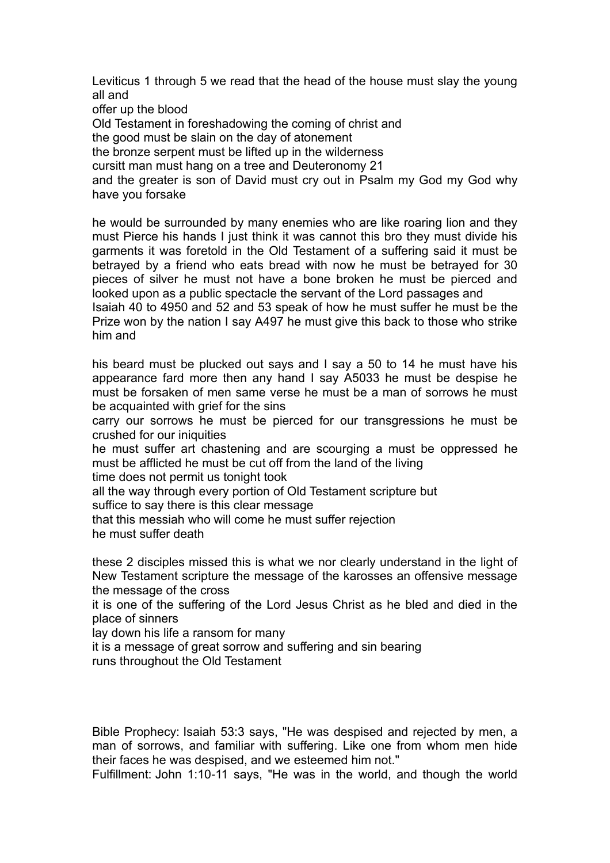Leviticus 1 through 5 we read that the head of the house must slay the young all and

offer up the blood

Old Testament in foreshadowing the coming of christ and

the good must be slain on the day of atonement

the bronze serpent must be lifted up in the wilderness

cursitt man must hang on a tree and Deuteronomy 21

and the greater is son of David must cry out in Psalm my God my God why have you forsake

he would be surrounded by many enemies who are like roaring lion and they must Pierce his hands I just think it was cannot this bro they must divide his garments it was foretold in the Old Testament of a suffering said it must be betrayed by a friend who eats bread with now he must be betrayed for 30 pieces of silver he must not have a bone broken he must be pierced and looked upon as a public spectacle the servant of the Lord passages and

Isaiah 40 to 4950 and 52 and 53 speak of how he must suffer he must be the Prize won by the nation I say A497 he must give this back to those who strike him and

his beard must be plucked out says and I say a 50 to 14 he must have his appearance fard more then any hand I say A5033 he must be despise he must be forsaken of men same verse he must be a man of sorrows he must be acquainted with grief for the sins

carry our sorrows he must be pierced for our transgressions he must be crushed for our iniquities

he must suffer art chastening and are scourging a must be oppressed he must be afflicted he must be cut off from the land of the living

time does not permit us tonight took

all the way through every portion of Old Testament scripture but

suffice to say there is this clear message

that this messiah who will come he must suffer rejection

he must suffer death

these 2 disciples missed this is what we nor clearly understand in the light of New Testament scripture the message of the karosses an offensive message the message of the cross

it is one of the suffering of the Lord Jesus Christ as he bled and died in the place of sinners

lay down his life a ransom for many

it is a message of great sorrow and suffering and sin bearing runs throughout the Old Testament

Bible Prophecy: Isaiah 53:3 says, "He was despised and rejected by men, a man of sorrows, and familiar with suffering. Like one from whom men hide their faces he was despised, and we esteemed him not."

Fulfillment: John 1:10-11 says, "He was in the world, and though the world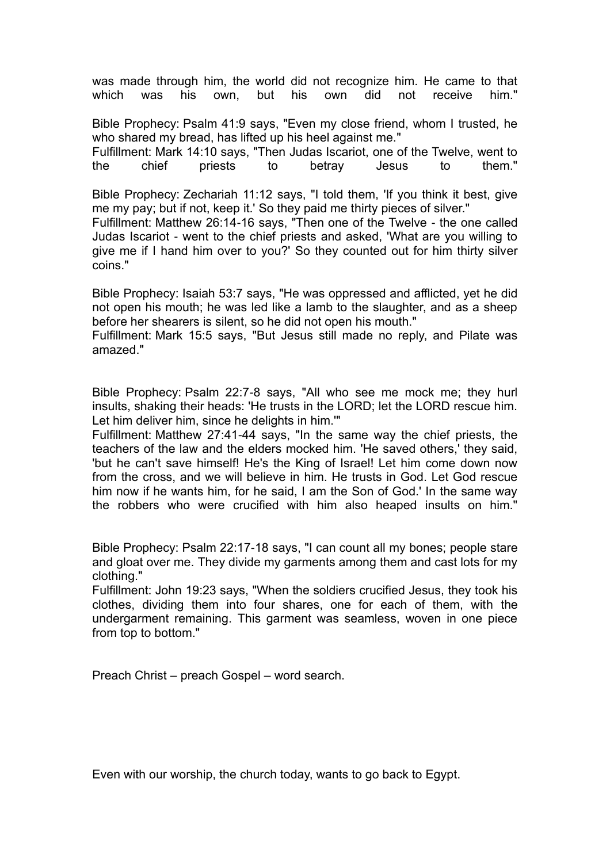was made through him, the world did not recognize him. He came to that which was his own. but his own did not receive him." which was his own, but his own did not receive him."

Bible Prophecy: Psalm 41:9 says, "Even my close friend, whom I trusted, he who shared my bread, has lifted up his heel against me."

Fulfillment: Mark 14:10 says, "Then Judas Iscariot, one of the Twelve, went to the chief priests to betray Jesus to them."

Bible Prophecy: Zechariah 11:12 says, "I told them, 'If you think it best, give me my pay; but if not, keep it.' So they paid me thirty pieces of silver."

Fulfillment: Matthew 26:14-16 says, "Then one of the Twelve - the one called Judas Iscariot - went to the chief priests and asked, 'What are you willing to give me if I hand him over to you?' So they counted out for him thirty silver coins."

Bible Prophecy: Isaiah 53:7 says, "He was oppressed and afflicted, yet he did not open his mouth; he was led like a lamb to the slaughter, and as a sheep before her shearers is silent, so he did not open his mouth."

Fulfillment: Mark 15:5 says, "But Jesus still made no reply, and Pilate was amazed."

Bible Prophecy: Psalm 22:7-8 says, "All who see me mock me; they hurl insults, shaking their heads: 'He trusts in the LORD; let the LORD rescue him. Let him deliver him, since he delights in him.'"

Fulfillment: Matthew 27:41-44 says, "In the same way the chief priests, the teachers of the law and the elders mocked him. 'He saved others,' they said, 'but he can't save himself! He's the King of Israel! Let him come down now from the cross, and we will believe in him. He trusts in God. Let God rescue him now if he wants him, for he said, I am the Son of God.' In the same way the robbers who were crucified with him also heaped insults on him."

Bible Prophecy: Psalm 22:17-18 says, "I can count all my bones; people stare and gloat over me. They divide my garments among them and cast lots for my clothing."

Fulfillment: John 19:23 says, "When the soldiers crucified Jesus, they took his clothes, dividing them into four shares, one for each of them, with the undergarment remaining. This garment was seamless, woven in one piece from top to bottom."

Preach Christ – preach Gospel – word search.

Even with our worship, the church today, wants to go back to Egypt.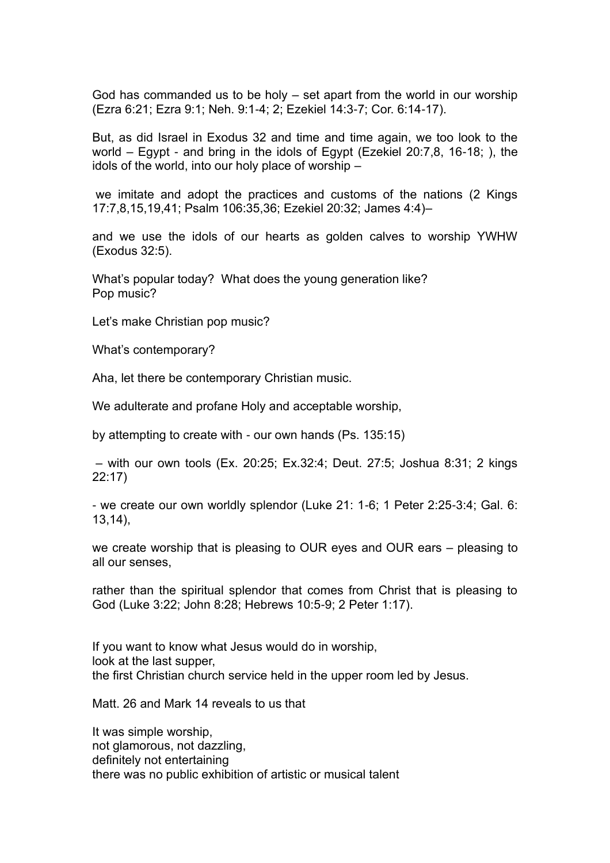God has commanded us to be holy – set apart from the world in our worship (Ezra 6:21; Ezra 9:1; Neh. 9:1-4; 2; Ezekiel 14:3-7; Cor. 6:14-17).

But, as did Israel in Exodus 32 and time and time again, we too look to the world – Egypt - and bring in the idols of Egypt (Ezekiel 20:7,8, 16-18; ), the idols of the world, into our holy place of worship –

we imitate and adopt the practices and customs of the nations (2 Kings 17:7,8,15,19,41; Psalm 106:35,36; Ezekiel 20:32; James 4:4)–

and we use the idols of our hearts as golden calves to worship YWHW (Exodus 32:5).

What's popular today? What does the young generation like? Pop music?

Let's make Christian pop music?

What's contemporary?

Aha, let there be contemporary Christian music.

We adulterate and profane Holy and acceptable worship,

by attempting to create with - our own hands (Ps. 135:15)

– with our own tools (Ex. 20:25; Ex.32:4; Deut. 27:5; Joshua 8:31; 2 kings 22:17)

- we create our own worldly splendor (Luke 21: 1-6; 1 Peter 2:25-3:4; Gal. 6: 13,14),

we create worship that is pleasing to OUR eyes and OUR ears – pleasing to all our senses,

rather than the spiritual splendor that comes from Christ that is pleasing to God (Luke 3:22; John 8:28; Hebrews 10:5-9; 2 Peter 1:17).

If you want to know what Jesus would do in worship, look at the last supper, the first Christian church service held in the upper room led by Jesus.

Matt. 26 and Mark 14 reveals to us that

It was simple worship, not glamorous, not dazzling, definitely not entertaining there was no public exhibition of artistic or musical talent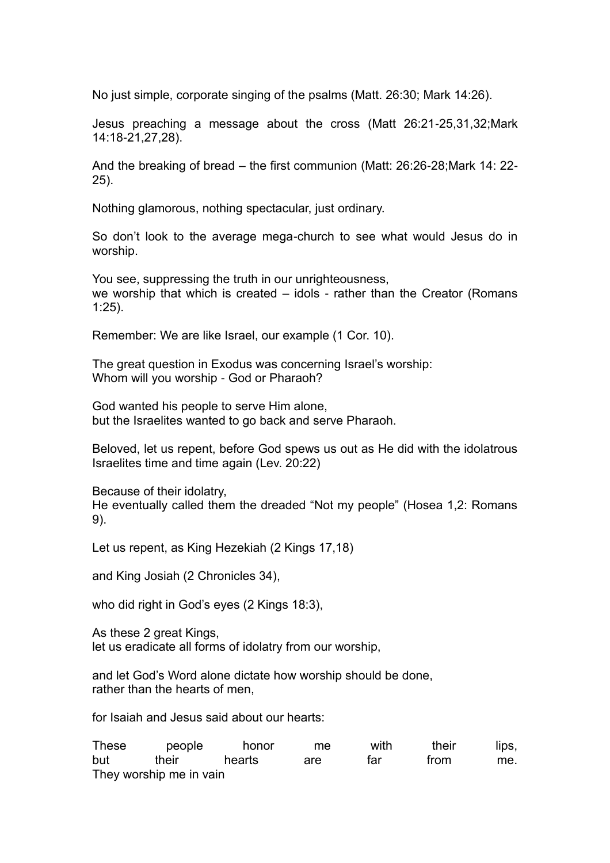No just simple, corporate singing of the psalms (Matt. 26:30; Mark 14:26).

Jesus preaching a message about the cross (Matt 26:21-25,31,32;Mark 14:18-21,27,28).

And the breaking of bread – the first communion (Matt: 26:26-28;Mark 14: 22- 25).

Nothing glamorous, nothing spectacular, just ordinary.

So don't look to the average mega-church to see what would Jesus do in worship.

You see, suppressing the truth in our unrighteousness, we worship that which is created – idols - rather than the Creator (Romans 1:25).

Remember: We are like Israel, our example (1 Cor. 10).

The great question in Exodus was concerning Israel's worship: Whom will you worship - God or Pharaoh?

God wanted his people to serve Him alone, but the Israelites wanted to go back and serve Pharaoh.

Beloved, let us repent, before God spews us out as He did with the idolatrous Israelites time and time again (Lev. 20:22)

Because of their idolatry,

He eventually called them the dreaded "Not my people" (Hosea 1,2: Romans 9).

Let us repent, as King Hezekiah (2 Kings 17,18)

and King Josiah (2 Chronicles 34),

who did right in God's eyes (2 Kings 18:3),

As these 2 great Kings, let us eradicate all forms of idolatry from our worship,

and let God's Word alone dictate how worship should be done, rather than the hearts of men,

for Isaiah and Jesus said about our hearts:

| <b>These</b> | people                  | honor  | me  | with | their | lips, |
|--------------|-------------------------|--------|-----|------|-------|-------|
| but          | their                   | hearts | are | tar  | trom  | me.   |
|              | They worship me in vain |        |     |      |       |       |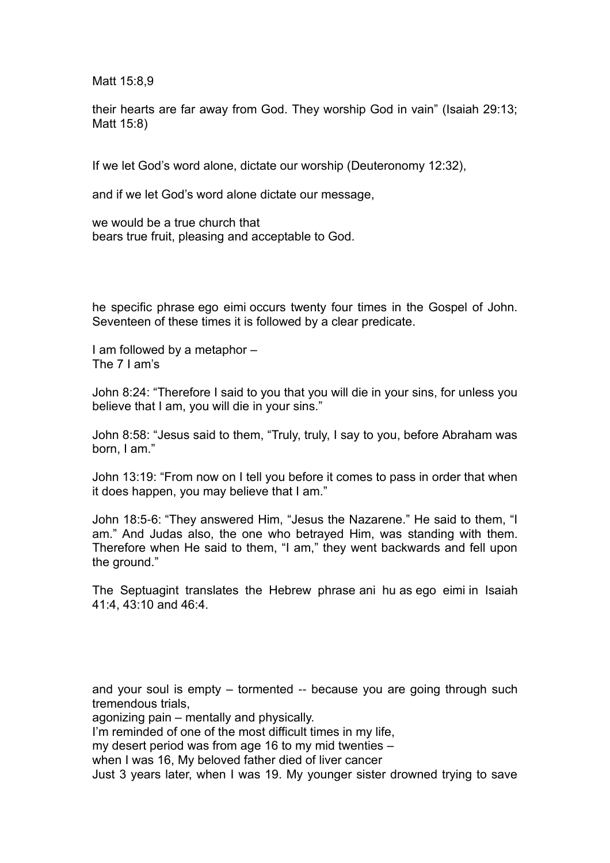Matt 15:8,9

their hearts are far away from God. They worship God in vain" (Isaiah 29:13; Matt 15:8)

If we let God's word alone, dictate our worship (Deuteronomy 12:32),

and if we let God's word alone dictate our message,

we would be a true church that bears true fruit, pleasing and acceptable to God.

he specific phrase ego eimi occurs twenty four times in the Gospel of John. Seventeen of these times it is followed by a clear predicate.

I am followed by a metaphor – The 7 I am's

John 8:24: "Therefore I said to you that you will die in your sins, for unless you believe that I am, you will die in your sins."

John 8:58: "Jesus said to them, "Truly, truly, I say to you, before Abraham was born, I am."

John 13:19: "From now on I tell you before it comes to pass in order that when it does happen, you may believe that I am."

John 18:5-6: "They answered Him, "Jesus the Nazarene." He said to them, "I am." And Judas also, the one who betrayed Him, was standing with them. Therefore when He said to them, "I am," they went backwards and fell upon the ground."

The Septuagint translates the Hebrew phrase ani hu as ego eimi in Isaiah 41:4, 43:10 and 46:4.

and your soul is empty – tormented -- because you are going through such tremendous trials,

agonizing pain – mentally and physically.

I'm reminded of one of the most difficult times in my life,

my desert period was from age 16 to my mid twenties –

when I was 16, My beloved father died of liver cancer

Just 3 years later, when I was 19. My younger sister drowned trying to save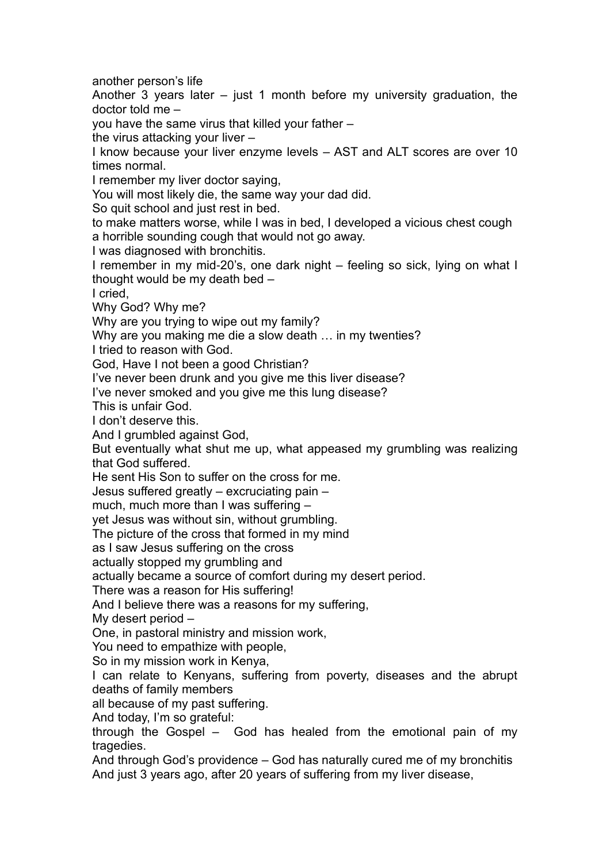another person's life

Another 3 years later – just 1 month before my university graduation, the doctor told me –

you have the same virus that killed your father –

the virus attacking your liver –

I know because your liver enzyme levels – AST and ALT scores are over 10 times normal.

I remember my liver doctor saying,

You will most likely die, the same way your dad did.

So quit school and just rest in bed.

to make matters worse, while I was in bed, I developed a vicious chest cough a horrible sounding cough that would not go away.

I was diagnosed with bronchitis.

I remember in my mid-20's, one dark night – feeling so sick, lying on what I thought would be my death bed –

I cried,

Why God? Why me?

Why are you trying to wipe out my family?

Why are you making me die a slow death ... in my twenties?

I tried to reason with God.

God, Have I not been a good Christian?

I've never been drunk and you give me this liver disease?

I've never smoked and you give me this lung disease?

This is unfair God.

I don't deserve this.

And I grumbled against God,

But eventually what shut me up, what appeased my grumbling was realizing that God suffered.

He sent His Son to suffer on the cross for me.

Jesus suffered greatly – excruciating pain –

much, much more than I was suffering –

yet Jesus was without sin, without grumbling.

The picture of the cross that formed in my mind

as I saw Jesus suffering on the cross

actually stopped my grumbling and

actually became a source of comfort during my desert period.

There was a reason for His suffering!

And I believe there was a reasons for my suffering,

My desert period –

One, in pastoral ministry and mission work,

You need to empathize with people,

So in my mission work in Kenya,

I can relate to Kenyans, suffering from poverty, diseases and the abrupt deaths of family members

all because of my past suffering.

And today, I'm so grateful:

through the Gospel – God has healed from the emotional pain of my tragedies.

And through God's providence – God has naturally cured me of my bronchitis And just 3 years ago, after 20 years of suffering from my liver disease,